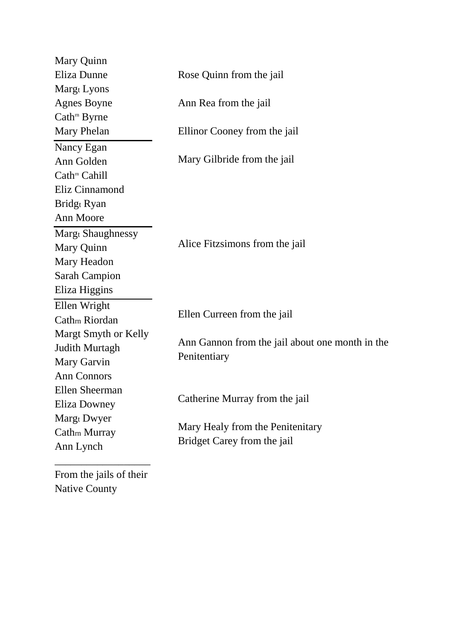| Mary Quinn               |                                                                 |  |
|--------------------------|-----------------------------------------------------------------|--|
| Eliza Dunne              | Rose Quinn from the jail                                        |  |
| Margt Lyons              |                                                                 |  |
| <b>Agnes Boyne</b>       | Ann Rea from the jail                                           |  |
| Cath <sup>m</sup> Byrne  |                                                                 |  |
| Mary Phelan              | Ellinor Cooney from the jail                                    |  |
| Nancy Egan               |                                                                 |  |
| Ann Golden               | Mary Gilbride from the jail                                     |  |
| Cath <sup>m</sup> Cahill |                                                                 |  |
| Eliz Cinnamond           |                                                                 |  |
| Bridgt Ryan              |                                                                 |  |
| Ann Moore                |                                                                 |  |
| <b>Margt Shaughnessy</b> |                                                                 |  |
| Mary Quinn               | Alice Fitzsimons from the jail                                  |  |
| Mary Headon              |                                                                 |  |
| Sarah Campion            |                                                                 |  |
| Eliza Higgins            |                                                                 |  |
| Ellen Wright             |                                                                 |  |
| Cathrn Riordan           | Ellen Curreen from the jail                                     |  |
| Margt Smyth or Kelly     | Ann Gannon from the jail about one month in the                 |  |
| Judith Murtagh           |                                                                 |  |
| Mary Garvin              | Penitentiary                                                    |  |
| <b>Ann Connors</b>       |                                                                 |  |
| Ellen Sheerman           |                                                                 |  |
| Eliza Downey             | Catherine Murray from the jail                                  |  |
| Margt Dwyer              |                                                                 |  |
| Cathm Murray             | Mary Healy from the Penitenitary<br>Bridget Carey from the jail |  |
| Ann Lynch                |                                                                 |  |
|                          |                                                                 |  |

From the jails of their Native County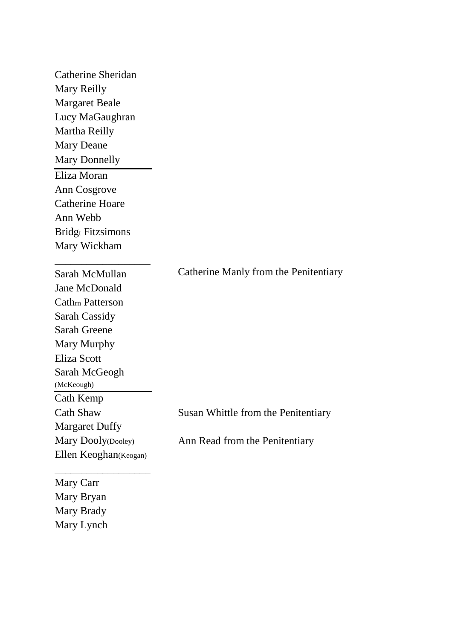| Catherine Sheridan       |                                       |
|--------------------------|---------------------------------------|
| Mary Reilly              |                                       |
| <b>Margaret Beale</b>    |                                       |
| Lucy MaGaughran          |                                       |
| Martha Reilly            |                                       |
| <b>Mary Deane</b>        |                                       |
| <b>Mary Donnelly</b>     |                                       |
| Eliza Moran              |                                       |
| Ann Cosgrove             |                                       |
| <b>Catherine Hoare</b>   |                                       |
| Ann Webb                 |                                       |
| <b>Bridgt Fitzsimons</b> |                                       |
| Mary Wickham             |                                       |
| Sarah McMullan           | Catherine Manly from the Penitentiary |
| Jane McDonald            |                                       |
| <b>Cathm Patterson</b>   |                                       |
| <b>Sarah Cassidy</b>     |                                       |
| <b>Sarah Greene</b>      |                                       |
| Mary Murphy              |                                       |
| Eliza Scott              |                                       |
| Sarah McGeogh            |                                       |
| (McKeough)               |                                       |
| Cath Kemp                |                                       |
| <b>Cath Shaw</b>         | Susan Whittle from the Penitentiary   |
| <b>Margaret Duffy</b>    |                                       |
| Mary Dooly(Dooley)       | Ann Read from the Penitentiary        |
| Ellen Keoghan(Keogan)    |                                       |
| Mary Carr                |                                       |
| Mary Bryan               |                                       |
| Mary Brady               |                                       |

Mary Lynch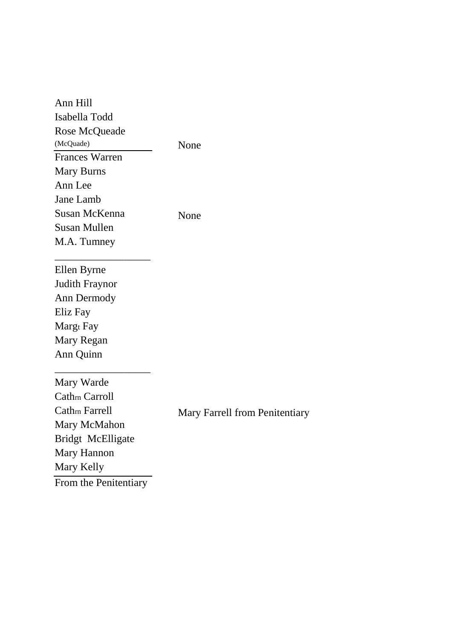| Ann Hill                   |                                       |
|----------------------------|---------------------------------------|
| Isabella Todd              |                                       |
| Rose McQueade              |                                       |
| (McQuade)                  | None                                  |
| <b>Frances Warren</b>      |                                       |
| <b>Mary Burns</b>          |                                       |
| Ann Lee                    |                                       |
| Jane Lamb                  |                                       |
| Susan McKenna              | None                                  |
| <b>Susan Mullen</b>        |                                       |
| M.A. Tumney                |                                       |
|                            |                                       |
| Ellen Byrne                |                                       |
| <b>Judith Fraynor</b>      |                                       |
| Ann Dermody                |                                       |
| Eliz Fay                   |                                       |
| Margt Fay                  |                                       |
| Mary Regan                 |                                       |
| Ann Quinn                  |                                       |
| Mary Warde                 |                                       |
| Cath <sub>rn</sub> Carroll |                                       |
| Cath <sub>rn</sub> Farrell |                                       |
| Mary McMahon               | <b>Mary Farrell from Penitentiary</b> |
| Bridgt McElligate          |                                       |
| Mary Hannon                |                                       |
| Mary Kelly                 |                                       |
|                            |                                       |
| From the Penitentiary      |                                       |